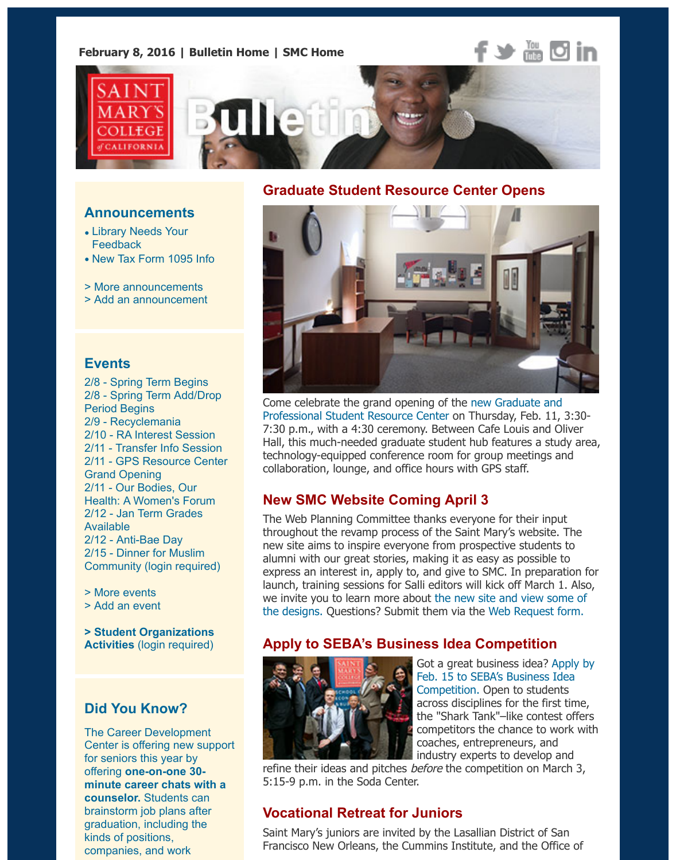# OLLEGI **CALIFORNI**

#### **Announcements**

- Library Needs Your **Feedback**
- New Tax Form 1095 Info
- > More announcements
- > Add an announcement

#### **[Events](https://www.stmarys-ca.edu/the-library-needs-your-feedback?utm_source=Bulletin&utm_medium=email&utm_content=announcement_test&utm_campaign=02-08-2016)**

- 2[/8 Spring Term Begins](https://www.stmarys-ca.edu/new-tax-form-1095-information?utm_source=Bulletin&utm_medium=email&utm_content=announcement_test&utm_campaign=02-08-2016) 2/8 - Spring Term Add/Drop [Period Begins](http://www.stmarys-ca.edu/smc-bulletin/announcements?utm_source=Bulletin&utm_medium=email&utm_content=announcement_test&utm_campaign=02-08-2016) [2/9 - Recyclemania](http://www.stmarys-ca.edu/node/add/announcement?utm_source=Bulletin&utm_medium=email&utm_content=announcement_test&utm_campaign=02-08-2016) 2/10 - RA Interest Session 2/11 - Transfer Info Session 2/11 - GPS Resource Center Grand Opening 2/11 - Our Bodies, Our Heal[th: A Women's Forum](http://www.stmarys-ca.edu/monday-spring-2016-term-classes-begin?utm_source=Bulletin&utm_medium=email&utm_content=event_test&utm_campaign=02-08-2016) [2/12 - Jan Term Grades](http://www.stmarys-ca.edu/spring-term-adddrop-period?utm_source=Bulletin&utm_medium=email&utm_content=event_test&utm_campaign=02-08-2016) Available 2/12 [- Anti-Bae Day](http://www.stmarys-ca.edu/recyclemania-launch?utm_source=Bulletin&utm_medium=email&utm_content=event_test&utm_campaign=02-08-2016) 2/15 - [Dinner for Muslim](http://www.stmarys-ca.edu/http%3A//www.stmarys-ca.edu/student-life/living-on-campus/office-of-residential-experience/resident-advisors-resident-director-4?utm_source=Bulletin&utm_medium=email&utm_content=event_test&utm_campaign=02-08-2016) Com[munity \(login required\)](http://www.stmarys-ca.edu/transfer-information-session?utm_source=Bulletin&utm_medium=email&utm_content=event_test&utm_campaign=02-08-2016)
- [> More events](http://www.stmarys-ca.edu/join-us-for-the-graduate-professional-student-resource-center-grand-opening?utm_source=Bulletin&utm_medium=email&utm_content=event_test&utm_campaign=02-08-2016)
- [> Add an event](http://www.stmarys-ca.edu/invest-our-bodies-our-health-a-womens-health-forum?utm_source=Bulletin&utm_medium=email&utm_content=event_test&utm_campaign=02-08-2016)

**[> Student Organization](http://www.stmarys-ca.edu/january-2016-term-grades-due-and-available-on-gaelxpress?utm_source=Bulletin&utm_medium=email&utm_content=event_test&utm_campaign=02-08-2016)s Activities** [\(login req](http://www.stmarys-ca.edu/rha-presents-anti-bae-day?utm_source=Bulletin&utm_medium=email&utm_content=event_test&utm_campaign=02-08-2016)uired)

## **[Did You Kn](http://www.stmarys-ca.edu/events?utm_source=Bulletin&utm_medium=email&utm_content=event_test&utm_campaign=02-08-2016)ow?**

[The Career Dev](http://www.stmarys-ca.edu/node/add/calendar-event?utm_source=Bulletin&utm_medium=email&utm_content=event_test&utm_campaign=02-08-2016)elopment Center is offering new support [for seniors this year by](https://stmarys-ca-community.symplicity.com/) offering **one-on-one 30 minute career chats with a counselor.** Students can brainstorm job plans after graduation, including the kinds of positions, companies, and work

### **Graduate Student Resource Center Opens**



Come celebrate the grand opening of the new Graduate and Professional Student Resource Center on Thursday, Feb. 11, 3: 7:30 p.m., with a 4:30 ceremony. Between Cafe Louis and Oliv Hall, this much-needed graduate student hub features a study technology-equipped conference room for group meetings and collaboration, lounge, and office hours with GPS staff.

## **New SMC Website Coming April 3**

[The Web Planning Committee thanks everyone for their inpu](http://www.stmarys-ca.edu/graduate-and-professional-student-resouce-center-opens?utm_source=Bulletin&utm_medium=email&utm_content=feature_test&utm_campaign=02-08-2016)t throughout the revamp process of the Saint Mary's website. The new site aims to inspire everyone from prospective students to alumni with our great stories, making it as easy as possible to express an interest in, apply to, and give to SMC. In preparation launch, training sessions for Salli editors will kick off March 1. Also, we invite you to learn more about the new site and view some the designs. Questions? Submit them via the Web Request form.

## **Apply to SEBA's Business Idea Competition**



Got a great business idea? Appl Feb. 15 to SEBA's Business Idea Competition. Open to students across disciplines for the first tire the "Shark Tank"-like contest of competitors the chance to work coaches, entrepreneurs, and industry experts to develop and

refine their ideas and pitches *before* the competition on March 5:15-9 p.m. in the Soda Center.

## **Vocational Retreat for [Juniors](https://www.stmarys-ca.edu/business-idea-competition?utm_source=Bulletin&utm_medium=email&utm_content=feature_test&utm_campaign=02-08-2016)**

Saint Mary's juniors are invited by the Lasallian District of San Francisco New Orleans, the Cummins Institute, and the Office